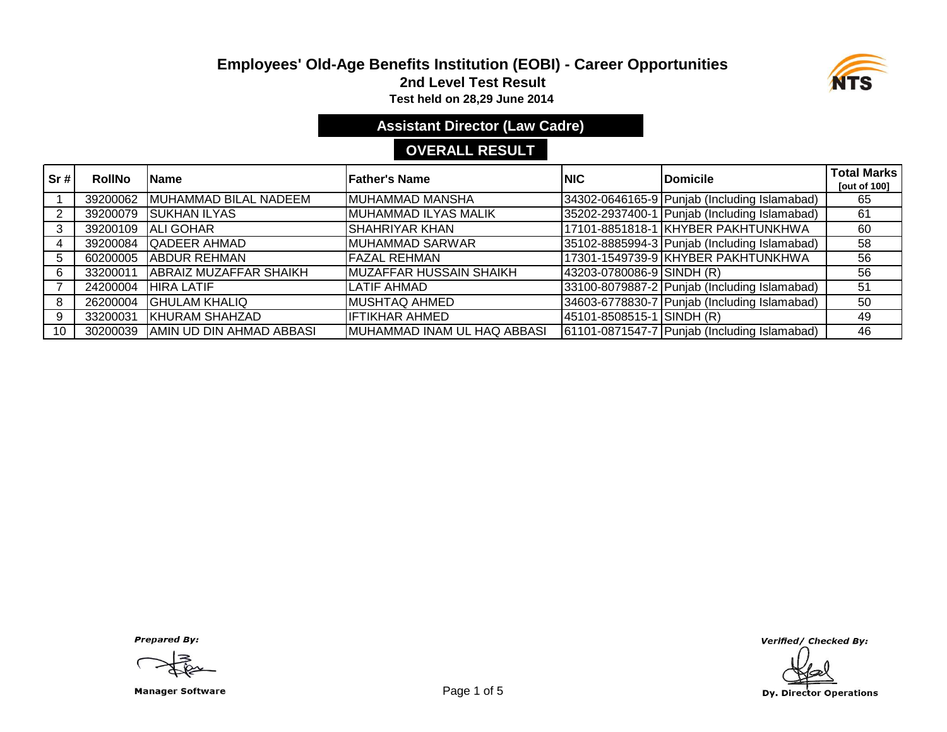# **Employees' Old-Age Benefits Institution (EOBI) - Career Opportunities**



**2nd Level Test Result**

**Test held on 28,29 June 2014** 

**Assistant Director (Law Cadre)**

# **OVERALL RESULT**

| Sr# | <b>RollNo</b> | <b>IName</b>                  | <b>Father's Name</b>        | INIC                      | <b>Domicile</b>                              | <b>Total Marks</b><br>[out of 100] |
|-----|---------------|-------------------------------|-----------------------------|---------------------------|----------------------------------------------|------------------------------------|
|     | 39200062      | MUHAMMAD BILAL NADEEM         | MUHAMMAD MANSHA             |                           | 34302-0646165-9 Punjab (Including Islamabad) | 65                                 |
|     | 39200079      | <b>ISUKHAN ILYAS</b>          | MUHAMMAD ILYAS MALIK        |                           | 35202-2937400-1 Punjab (Including Islamabad) | 61                                 |
|     | 39200109      | <b>ALI GOHAR</b>              | <b>SHAHRIYAR KHAN</b>       |                           | 17101-8851818-1 KHYBER PAKHTUNKHWA           | 60                                 |
|     | 39200084      | <b>QADEER AHMAD</b>           | <b>MUHAMMAD SARWAR</b>      |                           | 35102-8885994-3 Punjab (Including Islamabad) | 58                                 |
| 5   | 60200005      | <b>ABDUR REHMAN</b>           | <b>FAZAL REHMAN</b>         |                           | 17301-1549739-9 KHYBER PAKHTUNKHWA           | 56                                 |
| 6   | 33200011      | <b>ABRAIZ MUZAFFAR SHAIKH</b> | MUZAFFAR HUSSAIN SHAIKH     | 43203-0780086-9 SINDH (R) |                                              | 56                                 |
|     | 24200004      | <b>HIRA LATIF</b>             | <b>LATIF AHMAD</b>          |                           | 33100-8079887-2 Punjab (Including Islamabad) | 51                                 |
| 8   | 26200004      | <b>GHULAM KHALIQ</b>          | <b>MUSHTAQ AHMED</b>        |                           | 34603-6778830-7 Punjab (Including Islamabad) | 50                                 |
| 9   | 33200031      | <b>KHURAM SHAHZAD</b>         | <b>IFTIKHAR AHMED</b>       | 45101-8508515-1 SINDH (R) |                                              | 49                                 |
| 10  | 30200039      | AMIN UD DIN AHMAD ABBASI      | MUHAMMAD INAM UL HAQ ABBASI |                           | 61101-0871547-7 Punjab (Including Islamabad) | 46                                 |

**Prepared By:** 

Manager Software **Example 2 and Software** Page 1 of 5

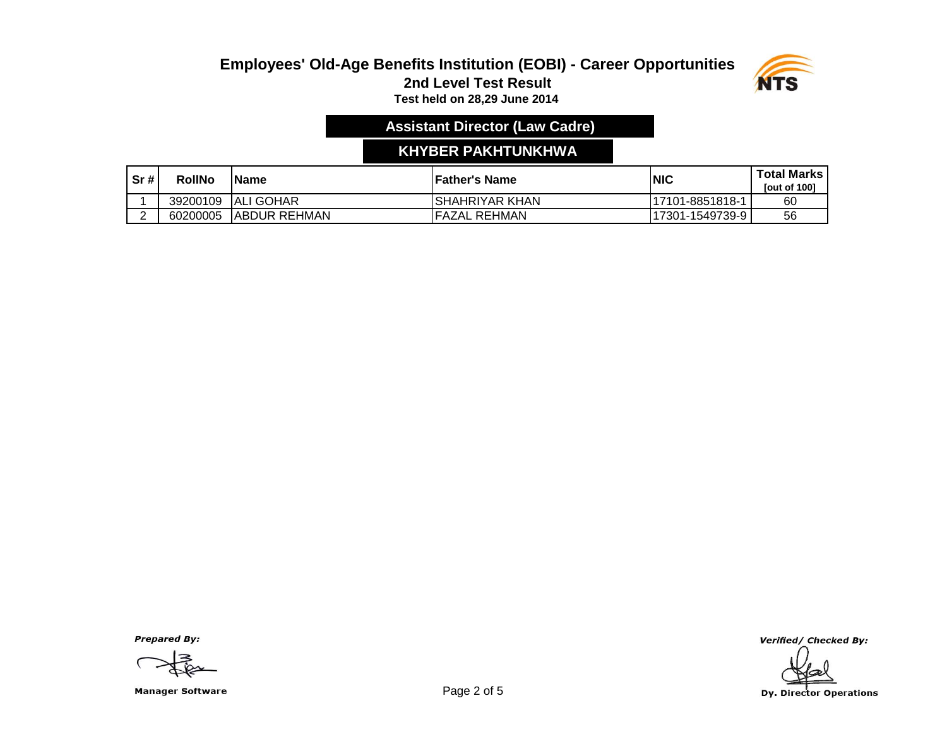

# **Assistant Director (Law Cadre)**

## **KHYBER PAKHTUNKHWA**

| Sr# | <b>RollNo</b> | <b>IName</b>         | 'Father's Name  | INIC             | <b>Total Marks</b><br><b>Tout of 1001</b> |
|-----|---------------|----------------------|-----------------|------------------|-------------------------------------------|
|     | 39200109      | <b>ALI GOHAR</b>     | ISHAHRIYAR KHAN | 117101-8851818-1 | 60                                        |
|     | 60200005      | <b>JABDUR REHMAN</b> | IFAZAL REHMAN   | 117301-1549739-9 | 56                                        |

**Prepared By:** 

Manager Software **Example 2 of 5** and 2 of 5

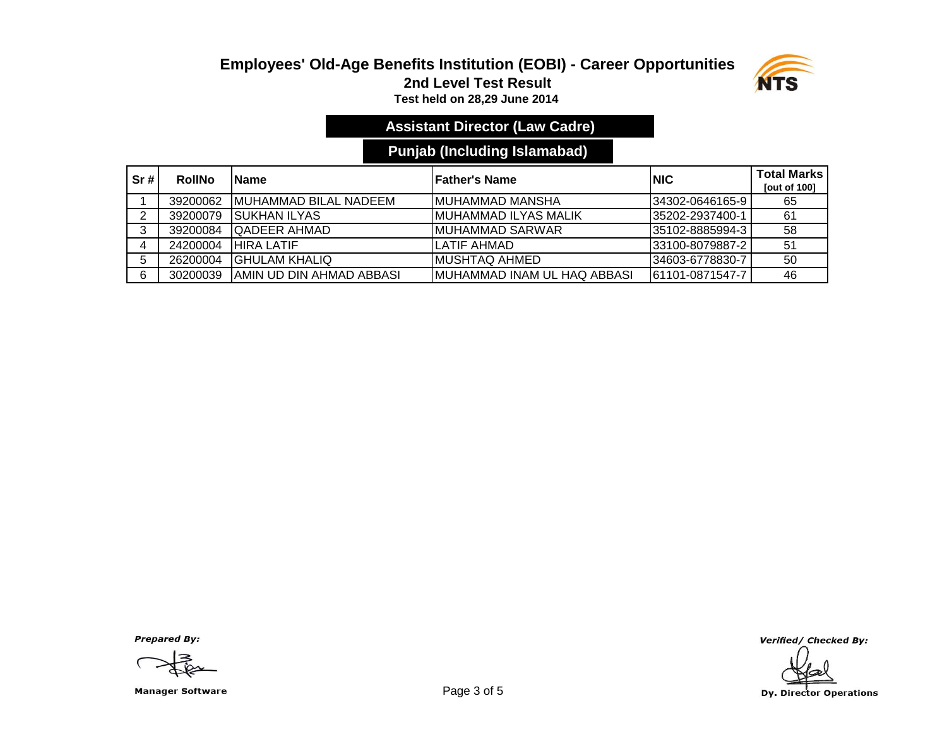

# **Assistant Director (Law Cadre)**

## **Punjab (Including Islamabad)**

| Sr# | <b>RollNo</b> | <b>IName</b>                  | lFather's Name                      | <b>INIC</b>      | <b>Total Marks</b><br><b>Tout of 1001</b> |
|-----|---------------|-------------------------------|-------------------------------------|------------------|-------------------------------------------|
|     | 39200062      | <b>IMUHAMMAD BILAL NADEEM</b> | IMUHAMMAD MANSHA                    | I34302-0646165-9 | 65                                        |
|     | 39200079      | ISUKHAN ILYAS                 | IMUHAMMAD ILYAS MALIK               | 135202-2937400-1 | -61                                       |
| ົ   | 39200084      | <b>IQADEER AHMAD</b>          | IMUHAMMAD SARWAR                    | 135102-8885994-3 | 58                                        |
|     | 24200004      | <b>HIRA LATIF</b>             | LATIF AHMAD                         | 33100-8079887-2  | 51                                        |
|     | 26200004      | <b>IGHULAM KHALIQ</b>         | IMUSHTAQ AHMED                      | 34603-6778830-7  | 50                                        |
| 6   | 30200039      | IAMIN UD DIN AHMAD ABBASI     | <b>IMUHAMMAD INAM UL HAQ ABBASI</b> | 61101-0871547-7  | 46                                        |

**Prepared By:** 

Manager Software **Example 2 of 5** and 2 of 5

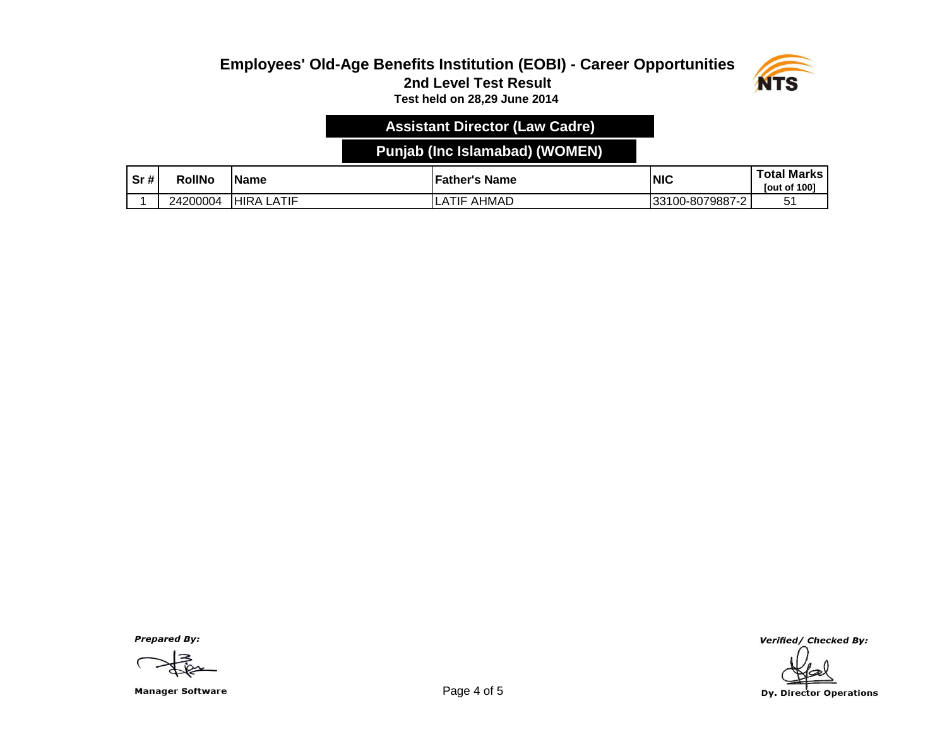

### **Assistant Director (Law Cadre)**

## **Punjab (Inc Islamabad) (WOMEN)**

| Sr# | RollNo   | <b>Name</b>   | <b>Father's Name</b> | NIC              | <b>Total Marks</b><br><b>Tout of 1001</b> |
|-----|----------|---------------|----------------------|------------------|-------------------------------------------|
|     | 24200004 | _ATIF<br>HIRA | AHMAD<br>TIF         | '33100-8079887-2 | - -<br>∽<br>ັ                             |

**Prepared By:** 

Manager Software **Example 2 and Software** Page 4 of 5